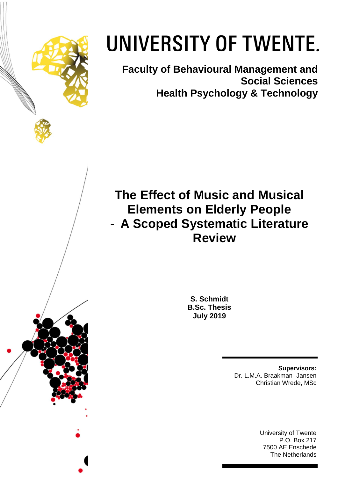

# UNIVERSITY OF TWENTE.

**Faculty of Behavioural Management and Social Sciences Health Psychology & Technology** 

**The Effect of Music and Musical Elements on Elderly People** - **A Scoped Systematic Literature Review**

> **S. Schmidt B.Sc. Thesis July 2019**

> > **Supervisors:** Dr. L.M.A. Braakman- Jansen Christian Wrede, MSc

> > > University of Twente P.O. Box 217 7500 AE Enschede The Netherlands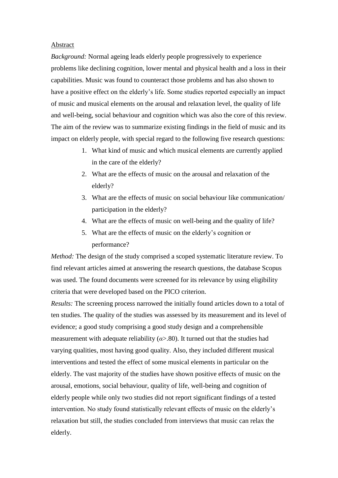## Abstract

*Background:* Normal ageing leads elderly people progressively to experience problems like declining cognition, lower mental and physical health and a loss in their capabilities. Music was found to counteract those problems and has also shown to have a positive effect on the elderly's life. Some studies reported especially an impact of music and musical elements on the arousal and relaxation level, the quality of life and well-being, social behaviour and cognition which was also the core of this review. The aim of the review was to summarize existing findings in the field of music and its impact on elderly people, with special regard to the following five research questions:

- 1. What kind of music and which musical elements are currently applied in the care of the elderly?
- 2. What are the effects of music on the arousal and relaxation of the elderly?
- 3. What are the effects of music on social behaviour like communication/ participation in the elderly?
- 4. What are the effects of music on well-being and the quality of life?
- 5. What are the effects of music on the elderly's cognition or performance?

*Method:* The design of the study comprised a scoped systematic literature review. To find relevant articles aimed at answering the research questions, the database Scopus was used. The found documents were screened for its relevance by using eligibility criteria that were developed based on the PICO criterion.

*Results:* The screening process narrowed the initially found articles down to a total of ten studies. The quality of the studies was assessed by its measurement and its level of evidence; a good study comprising a good study design and a comprehensible measurement with adequate reliability  $(a > .80)$ . It turned out that the studies had varying qualities, most having good quality. Also, they included different musical interventions and tested the effect of some musical elements in particular on the elderly. The vast majority of the studies have shown positive effects of music on the arousal, emotions, social behaviour, quality of life, well-being and cognition of elderly people while only two studies did not report significant findings of a tested intervention. No study found statistically relevant effects of music on the elderly's relaxation but still, the studies concluded from interviews that music can relax the elderly.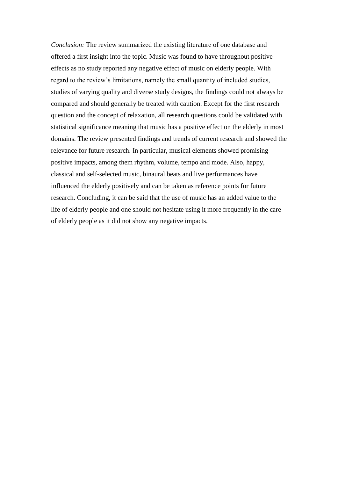*Conclusion:* The review summarized the existing literature of one database and offered a first insight into the topic. Music was found to have throughout positive effects as no study reported any negative effect of music on elderly people. With regard to the review's limitations, namely the small quantity of included studies, studies of varying quality and diverse study designs, the findings could not always be compared and should generally be treated with caution. Except for the first research question and the concept of relaxation, all research questions could be validated with statistical significance meaning that music has a positive effect on the elderly in most domains. The review presented findings and trends of current research and showed the relevance for future research. In particular, musical elements showed promising positive impacts, among them rhythm, volume, tempo and mode. Also, happy, classical and self-selected music, binaural beats and live performances have influenced the elderly positively and can be taken as reference points for future research. Concluding, it can be said that the use of music has an added value to the life of elderly people and one should not hesitate using it more frequently in the care of elderly people as it did not show any negative impacts.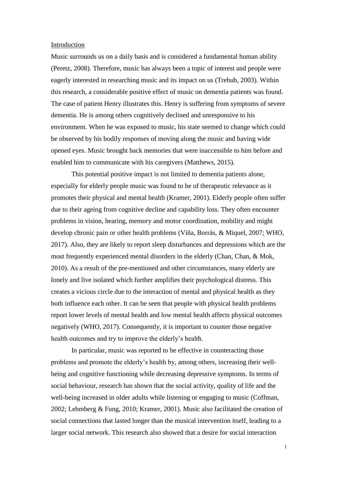## Introduction

Music surrounds us on a daily basis and is considered a fundamental human ability (Peretz, 2008). Therefore, music has always been a topic of interest and people were eagerly interested in researching music and its impact on us (Trehub, 2003). Within this research, a considerable positive effect of music on dementia patients was found. The case of patient Henry illustrates this. Henry is suffering from symptoms of severe dementia. He is among others cognitively declined and unresponsive to his environment. When he was exposed to music, his state seemed to change which could be observed by his bodily responses of moving along the music and having wide opened eyes. Music brought back memories that were inaccessible to him before and enabled him to communicate with his caregivers (Matthews, 2015).

This potential positive impact is not limited to dementia patients alone, especially for elderly people music was found to be of therapeutic relevance as it promotes their physical and mental health (Kramer, 2001). Elderly people often suffer due to their ageing from cognitive decline and capability loss. They often encounter problems in vision, hearing, memory and motor coordination, mobility and might develop chronic pain or other health problems (Viña, Borrás, & Miquel, 2007; WHO, 2017). Also, they are likely to report sleep disturbances and depressions which are the most frequently experienced mental disorders in the elderly (Chan, Chan, & Mok, 2010). As a result of the pre-mentioned and other circumstances, many elderly are lonely and live isolated which further amplifies their psychological distress. This creates a vicious circle due to the interaction of mental and physical health as they both influence each other. It can be seen that people with physical health problems report lower levels of mental health and low mental health affects physical outcomes negatively (WHO, 2017). Consequently, it is important to counter those negative health outcomes and try to improve the elderly's health.

In particular, music was reported to be effective in counteracting those problems and promote the elderly's health by, among others, increasing their wellbeing and cognitive functioning while decreasing depressive symptoms. In terms of social behaviour, research has shown that the social activity, quality of life and the well-being increased in older adults while listening or engaging to music (Coffman, 2002; Lehmberg & Fung, 2010; Kramer, 2001). Music also facilitated the creation of social connections that lasted longer than the musical intervention itself, leading to a larger social network. This research also showed that a desire for social interaction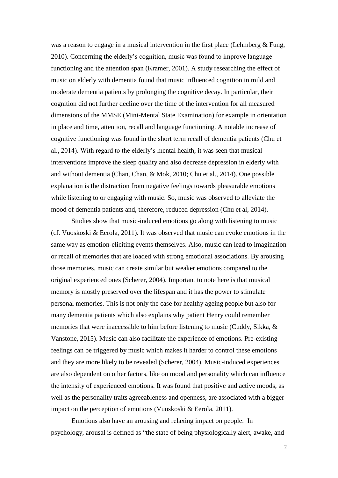was a reason to engage in a musical intervention in the first place (Lehmberg & Fung, 2010). Concerning the elderly's cognition, music was found to improve language functioning and the attention span (Kramer, 2001). A study researching the effect of music on elderly with dementia found that music influenced cognition in mild and moderate dementia patients by prolonging the cognitive decay. In particular, their cognition did not further decline over the time of the intervention for all measured dimensions of the MMSE (Mini-Mental State Examination) for example in orientation in place and time, attention, recall and language functioning. A notable increase of cognitive functioning was found in the short term recall of dementia patients (Chu et al., 2014). With regard to the elderly's mental health, it was seen that musical interventions improve the sleep quality and also decrease depression in elderly with and without dementia (Chan, Chan, & Mok, 2010; Chu et al., 2014). One possible explanation is the distraction from negative feelings towards pleasurable emotions while listening to or engaging with music. So, music was observed to alleviate the mood of dementia patients and, therefore, reduced depression (Chu et al, 2014).

Studies show that music-induced emotions go along with listening to music (cf. Vuoskoski & Eerola, 2011). It was observed that music can evoke emotions in the same way as emotion-eliciting events themselves. Also, music can lead to imagination or recall of memories that are loaded with strong emotional associations. By arousing those memories, music can create similar but weaker emotions compared to the original experienced ones (Scherer, 2004). Important to note here is that musical memory is mostly preserved over the lifespan and it has the power to stimulate personal memories. This is not only the case for healthy ageing people but also for many dementia patients which also explains why patient Henry could remember memories that were inaccessible to him before listening to music (Cuddy, Sikka, & Vanstone, 2015). Music can also facilitate the experience of emotions. Pre-existing feelings can be triggered by music which makes it harder to control these emotions and they are more likely to be revealed (Scherer, 2004). Music-induced experiences are also dependent on other factors, like on mood and personality which can influence the intensity of experienced emotions. It was found that positive and active moods, as well as the personality traits agreeableness and openness, are associated with a bigger impact on the perception of emotions (Vuoskoski & Eerola, 2011).

Emotions also have an arousing and relaxing impact on people. In psychology, arousal is defined as "the state of being physiologically alert, awake, and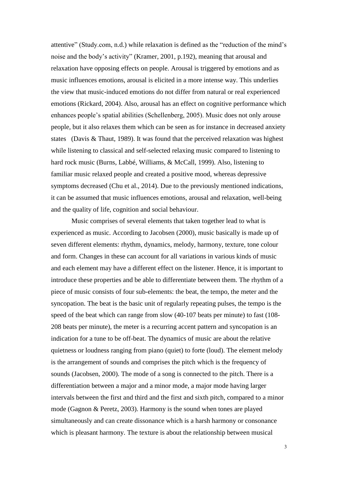attentive" (Study.com, n.d.) while relaxation is defined as the "reduction of the mind's noise and the body's activity" (Kramer, 2001, p.192), meaning that arousal and relaxation have opposing effects on people. Arousal is triggered by emotions and as music influences emotions, arousal is elicited in a more intense way. This underlies the view that music-induced emotions do not differ from natural or real experienced emotions (Rickard, 2004). Also, arousal has an effect on cognitive performance which enhances people's spatial abilities (Schellenberg, 2005). Music does not only arouse people, but it also relaxes them which can be seen as for instance in decreased anxiety states (Davis & Thaut, 1989). It was found that the perceived relaxation was highest while listening to classical and self-selected relaxing music compared to listening to hard rock music (Burns, Labbé, Williams, & McCall, 1999). Also, listening to familiar music relaxed people and created a positive mood, whereas depressive symptoms decreased (Chu et al., 2014). Due to the previously mentioned indications, it can be assumed that music influences emotions, arousal and relaxation, well-being and the quality of life, cognition and social behaviour.

Music comprises of several elements that taken together lead to what is experienced as music. According to Jacobsen (2000), music basically is made up of seven different elements: rhythm, dynamics, melody, harmony, texture, tone colour and form. Changes in these can account for all variations in various kinds of music and each element may have a different effect on the listener. Hence, it is important to introduce these properties and be able to differentiate between them. The rhythm of a piece of music consists of four sub-elements: the beat, the tempo, the meter and the syncopation. The beat is the basic unit of regularly repeating pulses, the tempo is the speed of the beat which can range from slow (40-107 beats per minute) to fast (108- 208 beats per minute), the meter is a recurring accent pattern and syncopation is an indication for a tune to be off-beat. The dynamics of music are about the relative quietness or loudness ranging from piano (quiet) to forte (loud). The element melody is the arrangement of sounds and comprises the pitch which is the frequency of sounds (Jacobsen, 2000). The mode of a song is connected to the pitch. There is a differentiation between a major and a minor mode, a major mode having larger intervals between the first and third and the first and sixth pitch, compared to a minor mode (Gagnon & Peretz, 2003). Harmony is the sound when tones are played simultaneously and can create dissonance which is a harsh harmony or consonance which is pleasant harmony. The texture is about the relationship between musical

3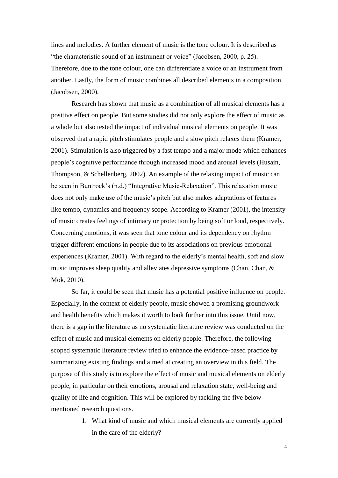lines and melodies. A further element of music is the tone colour. It is described as "the characteristic sound of an instrument or voice" (Jacobsen, 2000, p. 25). Therefore, due to the tone colour, one can differentiate a voice or an instrument from another. Lastly, the form of music combines all described elements in a composition (Jacobsen, 2000).

Research has shown that music as a combination of all musical elements has a positive effect on people. But some studies did not only explore the effect of music as a whole but also tested the impact of individual musical elements on people. It was observed that a rapid pitch stimulates people and a slow pitch relaxes them (Kramer, 2001). Stimulation is also triggered by a fast tempo and a major mode which enhances people's cognitive performance through increased mood and arousal levels (Husain, Thompson, & Schellenberg, 2002). An example of the relaxing impact of music can be seen in Buntrock's (n.d.) "Integrative Music-Relaxation". This relaxation music does not only make use of the music's pitch but also makes adaptations of features like tempo, dynamics and frequency scope. According to Kramer (2001), the intensity of music creates feelings of intimacy or protection by being soft or loud, respectively. Concerning emotions, it was seen that tone colour and its dependency on rhythm trigger different emotions in people due to its associations on previous emotional experiences (Kramer, 2001). With regard to the elderly's mental health, soft and slow music improves sleep quality and alleviates depressive symptoms (Chan, Chan, & Mok, 2010).

So far, it could be seen that music has a potential positive influence on people. Especially, in the context of elderly people, music showed a promising groundwork and health benefits which makes it worth to look further into this issue. Until now, there is a gap in the literature as no systematic literature review was conducted on the effect of music and musical elements on elderly people. Therefore, the following scoped systematic literature review tried to enhance the evidence-based practice by summarizing existing findings and aimed at creating an overview in this field. The purpose of this study is to explore the effect of music and musical elements on elderly people, in particular on their emotions, arousal and relaxation state, well-being and quality of life and cognition. This will be explored by tackling the five below mentioned research questions.

> 1. What kind of music and which musical elements are currently applied in the care of the elderly?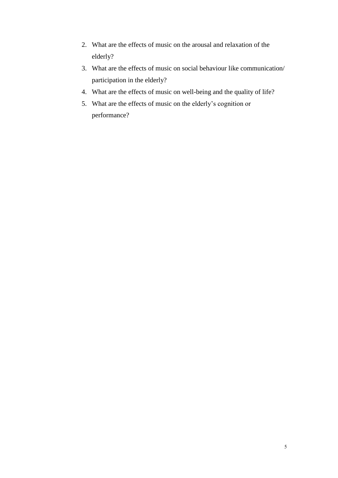- 2. What are the effects of music on the arousal and relaxation of the elderly?
- 3. What are the effects of music on social behaviour like communication/ participation in the elderly?
- 4. What are the effects of music on well-being and the quality of life?
- 5. What are the effects of music on the elderly's cognition or performance?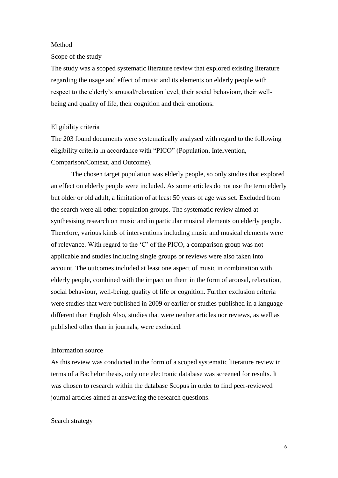## Method

#### Scope of the study

The study was a scoped systematic literature review that explored existing literature regarding the usage and effect of music and its elements on elderly people with respect to the elderly's arousal/relaxation level, their social behaviour, their wellbeing and quality of life, their cognition and their emotions.

## Eligibility criteria

The 203 found documents were systematically analysed with regard to the following eligibility criteria in accordance with "PICO" (Population, Intervention, Comparison/Context, and Outcome).

The chosen target population was elderly people, so only studies that explored an effect on elderly people were included. As some articles do not use the term elderly but older or old adult, a limitation of at least 50 years of age was set. Excluded from the search were all other population groups. The systematic review aimed at synthesising research on music and in particular musical elements on elderly people. Therefore, various kinds of interventions including music and musical elements were of relevance. With regard to the 'C' of the PICO, a comparison group was not applicable and studies including single groups or reviews were also taken into account. The outcomes included at least one aspect of music in combination with elderly people, combined with the impact on them in the form of arousal, relaxation, social behaviour, well-being, quality of life or cognition. Further exclusion criteria were studies that were published in 2009 or earlier or studies published in a language different than English Also, studies that were neither articles nor reviews, as well as published other than in journals, were excluded.

## Information source

As this review was conducted in the form of a scoped systematic literature review in terms of a Bachelor thesis, only one electronic database was screened for results. It was chosen to research within the database Scopus in order to find peer-reviewed journal articles aimed at answering the research questions.

## Search strategy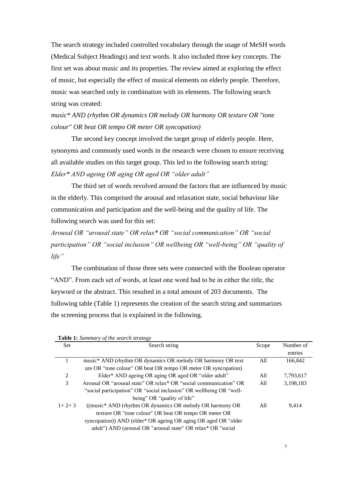The search strategy included controlled vocabulary through the usage of MeSH words (Medical Subject Headings) and text words. It also included three key concepts. The first set was about music and its properties. The review aimed at exploring the effect of music, but especially the effect of musical elements on elderly people. Therefore, music was searched only in combination with its elements. The following search string was created:

*music\* AND (rhythm OR dynamics OR melody OR harmony OR texture OR "tone colour" OR beat OR tempo OR meter OR syncopation)*

The second key concept involved the target group of elderly people. Here, synonyms and commonly used words in the research were chosen to ensure receiving all available studies on this target group. This led to the following search string: *Elder\* AND ageing OR aging OR aged OR "older adult"*

The third set of words revolved around the factors that are influenced by music in the elderly. This comprised the arousal and relaxation state, social behaviour like communication and participation and the well-being and the quality of life. The following search was used for this set:

*Arousal OR "arousal state" OR relax\* OR "social communication" OR "social participation" OR "social inclusion" OR wellbeing OR "well-being" OR "quality of life"*

The combination of those three sets were connected with the Boolean operator "AND". From each set of words, at least one word had to be in either the title, the keyword or the abstract. This resulted in a total amount of 203 documents. The following table (Table 1) represents the creation of the search string and summarizes the screening process that is explained in the following.

|         | <b>Table 1:</b> Summary of the search strategy                      |       |           |
|---------|---------------------------------------------------------------------|-------|-----------|
| Set     | Search string                                                       | Scope | Number of |
|         |                                                                     |       | entries   |
|         | music* AND (rhythm OR dynamics OR melody OR harmony OR text         | All   | 166,842   |
|         | ure OR "tone colour" OR beat OR tempo OR meter OR syncopation)      |       |           |
| 2       | Elder* AND ageing OR aging OR aged OR "older adult"                 | All   | 7,793,617 |
| 3       | Arousal OR "arousal state" OR relax * OR "social communication" OR  | All   | 3,198,183 |
|         | "social participation" OR "social inclusion" OR wellbeing OR "well- |       |           |
|         | being" OR "quality of life"                                         |       |           |
| $1+2+3$ | ((music* AND (rhythm OR dynamics OR melody OR harmony OR            | All   | 9,414     |
|         | texture OR "tone colour" OR beat OR tempo OR meter OR               |       |           |
|         | syncopation)) AND (elder* OR ageing OR aging OR aged OR "older      |       |           |
|         | adult") AND (arousal OR "arousal state" OR relax* OR "social        |       |           |

**Table 1:** *Summary of the search strategy*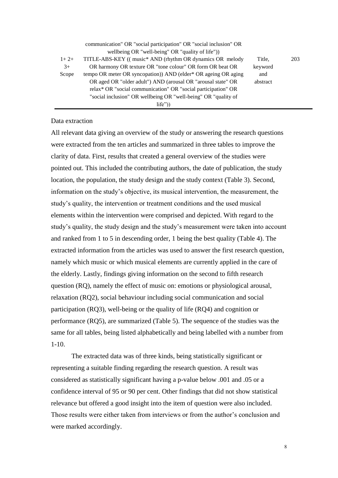|        | communication" OR "social participation" OR "social inclusion" OR |          |     |
|--------|-------------------------------------------------------------------|----------|-----|
|        | wellbeing OR "well-being" OR "quality of life"))                  |          |     |
| $1+2+$ | TITLE-ABS-KEY ((music* AND (rhythm OR dynamics OR melody)         | Title.   | 203 |
| $3+$   | OR harmony OR texture OR "tone colour" OR form OR beat OR         | keyword  |     |
| Scope  | tempo OR meter OR syncopation) AND (elder* OR ageing OR aging     | and      |     |
|        | OR aged OR "older adult") AND (arousal OR "arousal state" OR      | abstract |     |
|        | relax* OR "social communication" OR "social participation" OR     |          |     |
|        | "social inclusion" OR wellbeing OR "well-being" OR "quality of    |          |     |
|        | life")                                                            |          |     |

## Data extraction

All relevant data giving an overview of the study or answering the research questions were extracted from the ten articles and summarized in three tables to improve the clarity of data. First, results that created a general overview of the studies were pointed out. This included the contributing authors, the date of publication, the study location, the population, the study design and the study context (Table 3). Second, information on the study's objective, its musical intervention, the measurement, the study's quality, the intervention or treatment conditions and the used musical elements within the intervention were comprised and depicted. With regard to the study's quality, the study design and the study's measurement were taken into account and ranked from 1 to 5 in descending order, 1 being the best quality (Table 4). The extracted information from the articles was used to answer the first research question, namely which music or which musical elements are currently applied in the care of the elderly. Lastly, findings giving information on the second to fifth research question (RQ), namely the effect of music on: emotions or physiological arousal, relaxation (RQ2), social behaviour including social communication and social participation (RQ3), well-being or the quality of life (RQ4) and cognition or performance (RQ5), are summarized (Table 5). The sequence of the studies was the same for all tables, being listed alphabetically and being labelled with a number from 1-10.

The extracted data was of three kinds, being statistically significant or representing a suitable finding regarding the research question. A result was considered as statistically significant having a p-value below .001 and .05 or a confidence interval of 95 or 90 per cent. Other findings that did not show statistical relevance but offered a good insight into the item of question were also included. Those results were either taken from interviews or from the author's conclusion and were marked accordingly.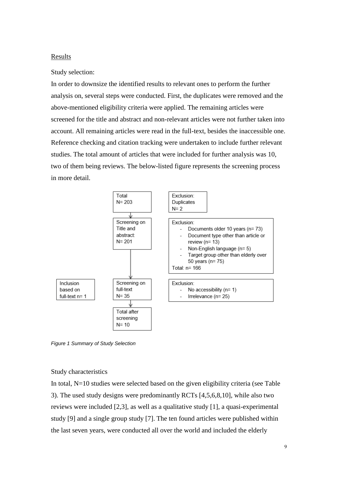## **Results**

## Study selection:

In order to downsize the identified results to relevant ones to perform the further analysis on, several steps were conducted. First, the duplicates were removed and the above-mentioned eligibility criteria were applied. The remaining articles were screened for the title and abstract and non-relevant articles were not further taken into account. All remaining articles were read in the full-text, besides the inaccessible one. Reference checking and citation tracking were undertaken to include further relevant studies. The total amount of articles that were included for further analysis was 10, two of them being reviews. The below-listed figure represents the screening process in more detail.



*Figure 1 Summary of Study Selection*

## Study characteristics

In total, N=10 studies were selected based on the given eligibility criteria (see Table 3). The used study designs were predominantly RCTs [4,5,6,8,10], while also two reviews were included [2,3], as well as a qualitative study [1], a quasi-experimental study [9] and a single group study [7]. The ten found articles were published within the last seven years, were conducted all over the world and included the elderly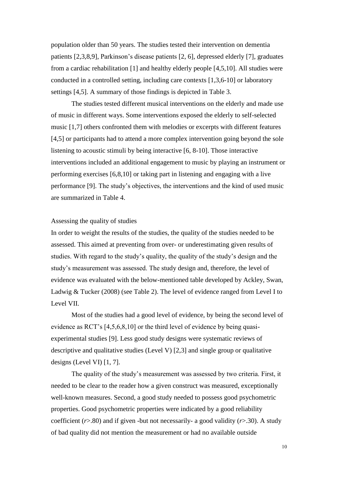population older than 50 years. The studies tested their intervention on dementia patients [2,3,8,9], Parkinson's disease patients [2, 6], depressed elderly [7], graduates from a cardiac rehabilitation [1] and healthy elderly people [4,5,10]. All studies were conducted in a controlled setting, including care contexts [1,3,6-10] or laboratory settings [4,5]. A summary of those findings is depicted in Table 3.

The studies tested different musical interventions on the elderly and made use of music in different ways. Some interventions exposed the elderly to self-selected music [1,7] others confronted them with melodies or excerpts with different features [4,5] or participants had to attend a more complex intervention going beyond the sole listening to acoustic stimuli by being interactive [6, 8-10]. Those interactive interventions included an additional engagement to music by playing an instrument or performing exercises [6,8,10] or taking part in listening and engaging with a live performance [9]. The study's objectives, the interventions and the kind of used music are summarized in Table 4.

## Assessing the quality of studies

In order to weight the results of the studies, the quality of the studies needed to be assessed. This aimed at preventing from over- or underestimating given results of studies. With regard to the study's quality, the quality of the study's design and the study's measurement was assessed. The study design and, therefore, the level of evidence was evaluated with the below-mentioned table developed by Ackley, Swan, Ladwig & Tucker (2008) (see Table 2). The level of evidence ranged from Level I to Level VII.

Most of the studies had a good level of evidence, by being the second level of evidence as RCT's [4,5,6,8,10] or the third level of evidence by being quasiexperimental studies [9]. Less good study designs were systematic reviews of descriptive and qualitative studies (Level V) [2,3] and single group or qualitative designs (Level VI) [1, 7].

The quality of the study's measurement was assessed by two criteria. First, it needed to be clear to the reader how a given construct was measured, exceptionally well-known measures. Second, a good study needed to possess good psychometric properties. Good psychometric properties were indicated by a good reliability coefficient (*r*>.80) and if given -but not necessarily- a good validity (*r*>.30). A study of bad quality did not mention the measurement or had no available outside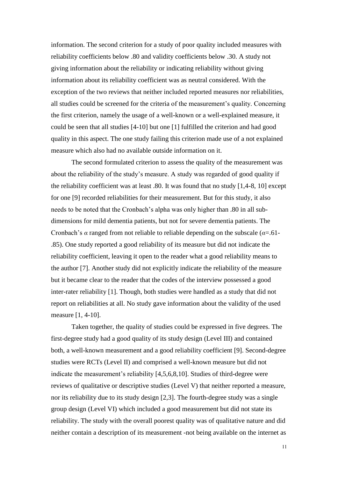information. The second criterion for a study of poor quality included measures with reliability coefficients below .80 and validity coefficients below .30. A study not giving information about the reliability or indicating reliability without giving information about its reliability coefficient was as neutral considered. With the exception of the two reviews that neither included reported measures nor reliabilities, all studies could be screened for the criteria of the measurement's quality. Concerning the first criterion, namely the usage of a well-known or a well-explained measure, it could be seen that all studies [4-10] but one [1] fulfilled the criterion and had good quality in this aspect. The one study failing this criterion made use of a not explained measure which also had no available outside information on it.

The second formulated criterion to assess the quality of the measurement was about the reliability of the study's measure. A study was regarded of good quality if the reliability coefficient was at least .80. It was found that no study [1,4-8, 10] except for one [9] recorded reliabilities for their measurement. But for this study, it also needs to be noted that the Cronbach's alpha was only higher than .80 in all subdimensions for mild dementia patients, but not for severe dementia patients. The Cronbach's *α* ranged from not reliable to reliable depending on the subscale (*α*=.61- .85). One study reported a good reliability of its measure but did not indicate the reliability coefficient, leaving it open to the reader what a good reliability means to the author [7]. Another study did not explicitly indicate the reliability of the measure but it became clear to the reader that the codes of the interview possessed a good inter-rater reliability [1]. Though, both studies were handled as a study that did not report on reliabilities at all. No study gave information about the validity of the used measure [1, 4-10].

Taken together, the quality of studies could be expressed in five degrees. The first-degree study had a good quality of its study design (Level III) and contained both, a well-known measurement and a good reliability coefficient [9]. Second-degree studies were RCTs (Level II) and comprised a well-known measure but did not indicate the measurement's reliability [4,5,6,8,10]. Studies of third-degree were reviews of qualitative or descriptive studies (Level V) that neither reported a measure, nor its reliability due to its study design [2,3]. The fourth-degree study was a single group design (Level VI) which included a good measurement but did not state its reliability. The study with the overall poorest quality was of qualitative nature and did neither contain a description of its measurement -not being available on the internet as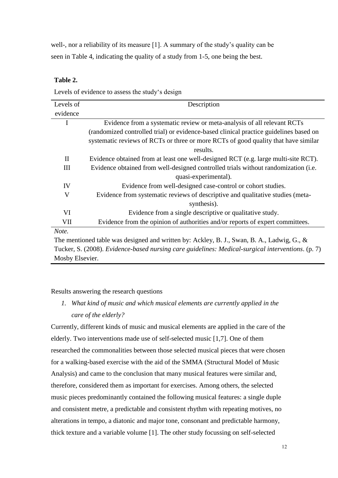well-, nor a reliability of its measure [1]. A summary of the study's quality can be seen in Table 4, indicating the quality of a study from 1-5, one being the best.

## **Table 2.**

Levels of evidence to assess the study's design

| Levels of                                                                                  | Description                                                                           |  |  |  |  |
|--------------------------------------------------------------------------------------------|---------------------------------------------------------------------------------------|--|--|--|--|
| evidence                                                                                   |                                                                                       |  |  |  |  |
| I                                                                                          | Evidence from a systematic review or meta-analysis of all relevant RCTs               |  |  |  |  |
|                                                                                            | (randomized controlled trial) or evidence-based clinical practice guidelines based on |  |  |  |  |
|                                                                                            | systematic reviews of RCTs or three or more RCTs of good quality that have similar    |  |  |  |  |
|                                                                                            | results.                                                                              |  |  |  |  |
| $\mathbf{I}$                                                                               | Evidence obtained from at least one well-designed RCT (e.g. large multi-site RCT).    |  |  |  |  |
| Ш                                                                                          | Evidence obtained from well-designed controlled trials without randomization (i.e.    |  |  |  |  |
|                                                                                            | quasi-experimental).                                                                  |  |  |  |  |
| IV                                                                                         | Evidence from well-designed case-control or cohort studies.                           |  |  |  |  |
| V                                                                                          | Evidence from systematic reviews of descriptive and qualitative studies (meta-        |  |  |  |  |
|                                                                                            | synthesis).                                                                           |  |  |  |  |
| VI                                                                                         | Evidence from a single descriptive or qualitative study.                              |  |  |  |  |
| VII                                                                                        | Evidence from the opinion of authorities and/or reports of expert committees.         |  |  |  |  |
| Note.                                                                                      |                                                                                       |  |  |  |  |
| The mentioned table was designed and written by: Ackley, B. J., Swan, B. A., Ladwig, G., & |                                                                                       |  |  |  |  |

Tucker, S. (2008). *Evidence-based nursing care guidelines: Medical-surgical interventions*. (p. 7) Mosby Elsevier.

Results answering the research questions

*1. What kind of music and which musical elements are currently applied in the care of the elderly?*

Currently, different kinds of music and musical elements are applied in the care of the elderly. Two interventions made use of self-selected music [1,7]. One of them researched the commonalities between those selected musical pieces that were chosen for a walking-based exercise with the aid of the SMMA (Structural Model of Music Analysis) and came to the conclusion that many musical features were similar and, therefore, considered them as important for exercises. Among others, the selected music pieces predominantly contained the following musical features: a single duple and consistent metre, a predictable and consistent rhythm with repeating motives, no alterations in tempo, a diatonic and major tone, consonant and predictable harmony, thick texture and a variable volume [1]. The other study focussing on self-selected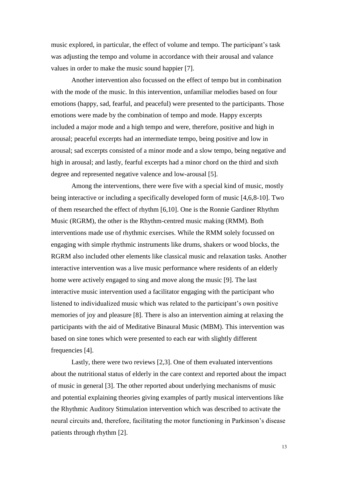music explored, in particular, the effect of volume and tempo. The participant's task was adjusting the tempo and volume in accordance with their arousal and valance values in order to make the music sound happier [7].

Another intervention also focussed on the effect of tempo but in combination with the mode of the music. In this intervention, unfamiliar melodies based on four emotions (happy, sad, fearful, and peaceful) were presented to the participants. Those emotions were made by the combination of tempo and mode. Happy excerpts included a major mode and a high tempo and were, therefore, positive and high in arousal; peaceful excerpts had an intermediate tempo, being positive and low in arousal; sad excerpts consisted of a minor mode and a slow tempo, being negative and high in arousal; and lastly, fearful excerpts had a minor chord on the third and sixth degree and represented negative valence and low-arousal [5].

Among the interventions, there were five with a special kind of music, mostly being interactive or including a specifically developed form of music [4,6,8-10]. Two of them researched the effect of rhythm [6,10]. One is the Ronnie Gardiner Rhythm Music (RGRM), the other is the Rhythm-centred music making (RMM). Both interventions made use of rhythmic exercises. While the RMM solely focussed on engaging with simple rhythmic instruments like drums, shakers or wood blocks, the RGRM also included other elements like classical music and relaxation tasks. Another interactive intervention was a live music performance where residents of an elderly home were actively engaged to sing and move along the music [9]. The last interactive music intervention used a facilitator engaging with the participant who listened to individualized music which was related to the participant's own positive memories of joy and pleasure [8]. There is also an intervention aiming at relaxing the participants with the aid of Meditative Binaural Music (MBM). This intervention was based on sine tones which were presented to each ear with slightly different frequencies [4].

Lastly, there were two reviews [2,3]. One of them evaluated interventions about the nutritional status of elderly in the care context and reported about the impact of music in general [3]. The other reported about underlying mechanisms of music and potential explaining theories giving examples of partly musical interventions like the Rhythmic Auditory Stimulation intervention which was described to activate the neural circuits and, therefore, facilitating the motor functioning in Parkinson's disease patients through rhythm [2].

13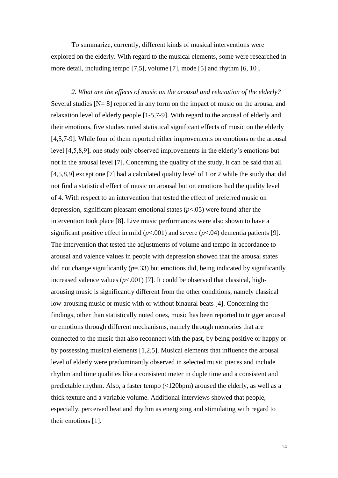To summarize, currently, different kinds of musical interventions were explored on the elderly. With regard to the musical elements, some were researched in more detail, including tempo [7,5], volume [7], mode [5] and rhythm [6, 10].

*2. What are the effects of music on the arousal and relaxation of the elderly?* Several studies  $[N=8]$  reported in any form on the impact of music on the arousal and relaxation level of elderly people [1-5,7-9]. With regard to the arousal of elderly and their emotions, five studies noted statistical significant effects of music on the elderly [4,5,7-9]. While four of them reported either improvements on emotions or the arousal level [4,5,8,9], one study only observed improvements in the elderly's emotions but not in the arousal level [7]. Concerning the quality of the study, it can be said that all [4,5,8,9] except one [7] had a calculated quality level of 1 or 2 while the study that did not find a statistical effect of music on arousal but on emotions had the quality level of 4. With respect to an intervention that tested the effect of preferred music on depression, significant pleasant emotional states (*p*<.05) were found after the intervention took place [8]. Live music performances were also shown to have a significant positive effect in mild  $(p<.001)$  and severe  $(p<.04)$  dementia patients [9]. The intervention that tested the adjustments of volume and tempo in accordance to arousal and valence values in people with depression showed that the arousal states did not change significantly  $(p=0.33)$  but emotions did, being indicated by significantly increased valence values  $(p<.001)$  [7]. It could be observed that classical, higharousing music is significantly different from the other conditions, namely classical low-arousing music or music with or without binaural beats [4]. Concerning the findings, other than statistically noted ones, music has been reported to trigger arousal or emotions through different mechanisms, namely through memories that are connected to the music that also reconnect with the past, by being positive or happy or by possessing musical elements [1,2,5]. Musical elements that influence the arousal level of elderly were predominantly observed in selected music pieces and include rhythm and time qualities like a consistent meter in duple time and a consistent and predictable rhythm. Also, a faster tempo (<120bpm) aroused the elderly, as well as a thick texture and a variable volume. Additional interviews showed that people, especially, perceived beat and rhythm as energizing and stimulating with regard to their emotions [1].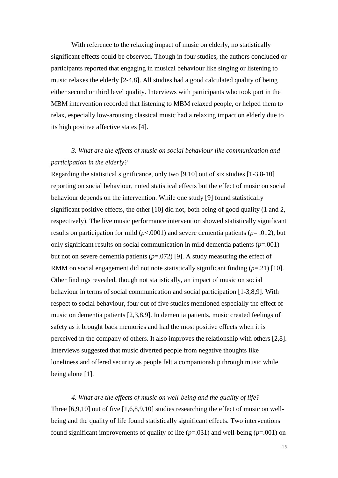With reference to the relaxing impact of music on elderly, no statistically significant effects could be observed. Though in four studies, the authors concluded or participants reported that engaging in musical behaviour like singing or listening to music relaxes the elderly [2-4,8]. All studies had a good calculated quality of being either second or third level quality. Interviews with participants who took part in the MBM intervention recorded that listening to MBM relaxed people, or helped them to relax, especially low-arousing classical music had a relaxing impact on elderly due to its high positive affective states [4].

## *3. What are the effects of music on social behaviour like communication and participation in the elderly?*

Regarding the statistical significance, only two [9,10] out of six studies [1-3,8-10] reporting on social behaviour, noted statistical effects but the effect of music on social behaviour depends on the intervention. While one study [9] found statistically significant positive effects, the other [10] did not, both being of good quality (1 and 2, respectively). The live music performance intervention showed statistically significant results on participation for mild ( $p$ <.0001) and severe dementia patients ( $p$ = .012), but only significant results on social communication in mild dementia patients (*p*=.001) but not on severe dementia patients (*p*=.072) [9]. A study measuring the effect of RMM on social engagement did not note statistically significant finding (*p*=.21) [10]. Other findings revealed, though not statistically, an impact of music on social behaviour in terms of social communication and social participation [1-3,8,9]. With respect to social behaviour, four out of five studies mentioned especially the effect of music on dementia patients [2,3,8,9]. In dementia patients, music created feelings of safety as it brought back memories and had the most positive effects when it is perceived in the company of others. It also improves the relationship with others [2,8]. Interviews suggested that music diverted people from negative thoughts like loneliness and offered security as people felt a companionship through music while being alone [1].

*4. What are the effects of music on well-being and the quality of life?* Three [6,9,10] out of five [1,6,8,9,10] studies researching the effect of music on wellbeing and the quality of life found statistically significant effects. Two interventions found significant improvements of quality of life (*p*=.031) and well-being (*p*=.001) on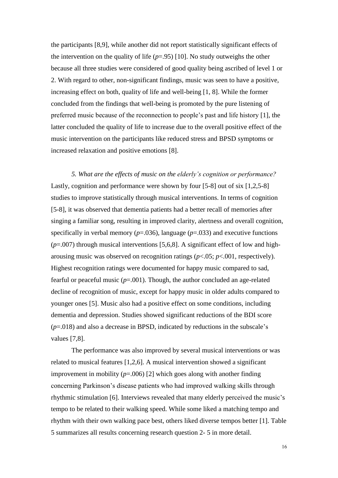the participants [8,9], while another did not report statistically significant effects of the intervention on the quality of life  $(p=0.95)$  [10]. No study outweighs the other because all three studies were considered of good quality being ascribed of level 1 or 2. With regard to other, non-significant findings, music was seen to have a positive, increasing effect on both, quality of life and well-being [1, 8]. While the former concluded from the findings that well-being is promoted by the pure listening of preferred music because of the reconnection to people's past and life history [1], the latter concluded the quality of life to increase due to the overall positive effect of the music intervention on the participants like reduced stress and BPSD symptoms or increased relaxation and positive emotions [8].

*5. What are the effects of music on the elderly's cognition or performance?*  Lastly, cognition and performance were shown by four [5-8] out of six [1,2,5-8] studies to improve statistically through musical interventions. In terms of cognition [5-8], it was observed that dementia patients had a better recall of memories after singing a familiar song, resulting in improved clarity, alertness and overall cognition, specifically in verbal memory  $(p=.036)$ , language  $(p=.033)$  and executive functions (*p*=.007) through musical interventions [5,6,8]. A significant effect of low and higharousing music was observed on recognition ratings (*p*<.05; *p*<.001, respectively). Highest recognition ratings were documented for happy music compared to sad, fearful or peaceful music  $(p=0.001)$ . Though, the author concluded an age-related decline of recognition of music, except for happy music in older adults compared to younger ones [5]. Music also had a positive effect on some conditions, including dementia and depression. Studies showed significant reductions of the BDI score (*p*=.018) and also a decrease in BPSD, indicated by reductions in the subscale's values [7,8].

The performance was also improved by several musical interventions or was related to musical features [1,2,6]. A musical intervention showed a significant improvement in mobility  $(p=0.006)$  [2] which goes along with another finding concerning Parkinson's disease patients who had improved walking skills through rhythmic stimulation [6]. Interviews revealed that many elderly perceived the music's tempo to be related to their walking speed. While some liked a matching tempo and rhythm with their own walking pace best, others liked diverse tempos better [1]. Table 5 summarizes all results concerning research question 2- 5 in more detail.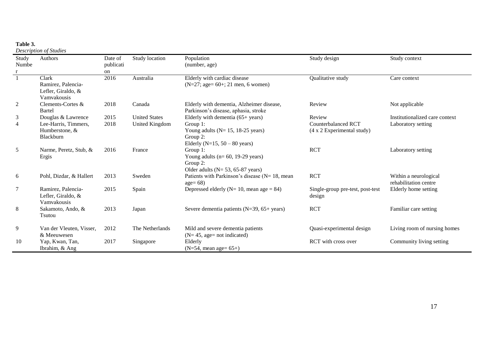## **Table 3.**

*Description of Studies*

| Study<br>Numbe | Authors                                                          | Date of<br>publicati | Study location       | Population<br>(number, age)                                                                            | Study design                                                     | Study context                                  |
|----------------|------------------------------------------------------------------|----------------------|----------------------|--------------------------------------------------------------------------------------------------------|------------------------------------------------------------------|------------------------------------------------|
|                |                                                                  | on                   |                      |                                                                                                        |                                                                  |                                                |
|                | Clark<br>Ramirez, Palencia-<br>Lefler, Giraldo, &<br>Vamvakousis | 2016                 | Australia            | Elderly with cardiac disease<br>$(N=27; age=60+; 21$ men, 6 women)                                     | Qualitative study                                                | Care context                                   |
| 2              | Clements-Cortes &<br>Bartel                                      | 2018                 | Canada               | Elderly with dementia, Alzheimer disease,<br>Parkinson's disease, aphasia, stroke                      | Review                                                           | Not applicable                                 |
| 3              | Douglas & Lawrence                                               | 2015                 | <b>United States</b> | Elderly with dementia $(65 + years)$                                                                   | Review                                                           | Institutionalized care context                 |
| 4              | Lee-Harris, Timmers,<br>Humberstone, &<br>Blackburn              | 2018                 | United Kingdom       | Group 1:<br>Young adults ( $N = 15$ , 18-25 years)<br>Group 2:<br>Elderly (N=15, $50 - 80$ years)      | <b>Counterbalanced RCT</b><br>$(4 \times 2)$ Experimental study) | Laboratory setting                             |
| 5              | Narme, Peretz, Stub, &<br>Ergis                                  | 2016                 | France               | Group 1:<br>Young adults ( $n=60$ , 19-29 years)<br>Group 2:<br>Older adults ( $N = 53$ , 65-87 years) | <b>RCT</b>                                                       | Laboratory setting                             |
| 6              | Pohl, Dizdar, & Hallert                                          | 2013                 | Sweden               | Patients with Parkinson's disease ( $N = 18$ , mean<br>$age=68$                                        | <b>RCT</b>                                                       | Within a neurological<br>rehabilitation centre |
| 7              | Ramirez, Palencia-<br>Lefler, Giraldo, &<br>Vamvakousis          | 2015                 | Spain                | Depressed elderly ( $N = 10$ , mean age = 84)                                                          | Single-group pre-test, post-test<br>design                       | Elderly home setting                           |
| 8              | Sakamoto, Ando, &<br>Tsutou                                      | 2013                 | Japan                | Severe dementia patients $(N=39, 65+)$ years)                                                          | <b>RCT</b>                                                       | Familiar care setting                          |
| 9              | Van der Vleuten, Visser,<br>& Meeuwesen                          | 2012                 | The Netherlands      | Mild and severe dementia patients<br>$(N=45, \text{ age} = \text{not indicated})$                      | Quasi-experimental design                                        | Living room of nursing homes                   |
| 10             | Yap, Kwan, Tan,<br>Ibrahim, & Ang                                | 2017                 | Singapore            | Elderly<br>$(N=54, \text{mean age} = 65+)$                                                             | RCT with cross over                                              | Community living setting                       |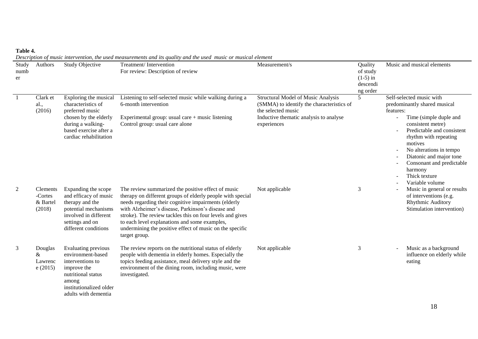| able |
|------|
|------|

*Description of music intervention, the used measurements and its quality and the used music or musical element*

| Study<br>numb<br>er | Authors                                   | <b>Study Objective</b>                                                                                                                                           | Treatment/Intervention<br>For review: Description of review                                                                                                                                                                                                                                                                                                                                                              | Measurement/s                                                                                                                                                  | Quality<br>of study<br>$(1-5)$ in<br>descendi<br>ng order | Music and musical elements                                                                                                                                                                                                                                                                                               |
|---------------------|-------------------------------------------|------------------------------------------------------------------------------------------------------------------------------------------------------------------|--------------------------------------------------------------------------------------------------------------------------------------------------------------------------------------------------------------------------------------------------------------------------------------------------------------------------------------------------------------------------------------------------------------------------|----------------------------------------------------------------------------------------------------------------------------------------------------------------|-----------------------------------------------------------|--------------------------------------------------------------------------------------------------------------------------------------------------------------------------------------------------------------------------------------------------------------------------------------------------------------------------|
|                     | Clark et<br>al.,<br>(2016)                | Exploring the musical<br>characteristics of<br>preferred music<br>chosen by the elderly<br>during a walking-<br>based exercise after a<br>cardiac rehabilitation | Listening to self-selected music while walking during a<br>6-month intervention<br>Experimental group: usual care $+$ music listening<br>Control group: usual care alone                                                                                                                                                                                                                                                 | Structural Model of Music Analysis<br>(SMMA) to identify the characteristics of<br>the selected music<br>Inductive thematic analysis to analyse<br>experiences | 5                                                         | Self-selected music with<br>predominantly shared musical<br>features:<br>Time (simple duple and<br>consistent metre)<br>Predictable and consistent<br>rhythm with repeating<br>motives<br>No alterations in tempo<br>Diatonic and major tone<br>Consonant and predictable<br>harmony<br>Thick texture<br>Variable volume |
| 2                   | Clements<br>-Cortes<br>& Bartel<br>(2018) | Expanding the scope<br>and efficacy of music<br>therapy and the<br>potential mechanisms<br>involved in different<br>settings and on<br>different conditions      | The review summarized the positive effect of music<br>therapy on different groups of elderly people with special<br>needs regarding their cognitive impairments (elderly<br>with Alzheimer's disease, Parkinson's disease and<br>stroke). The review tackles this on four levels and gives<br>to each level explanations and some examples,<br>undermining the positive effect of music on the specific<br>target group. | Not applicable                                                                                                                                                 | 3                                                         | Music in general or results<br>of interventions (e.g.<br>Rhythmic Auditory<br>Stimulation intervention)                                                                                                                                                                                                                  |
| 3                   | Douglas<br>&<br>Lawrenc<br>e(2015)        | Evaluating previous<br>environment-based<br>interventions to<br>improve the<br>nutritional status<br>among<br>institutionalized older<br>adults with dementia    | The review reports on the nutritional status of elderly<br>people with dementia in elderly homes. Especially the<br>topics feeding assistance, meal delivery style and the<br>environment of the dining room, including music, were<br>investigated.                                                                                                                                                                     | Not applicable                                                                                                                                                 | 3                                                         | Music as a background<br>influence on elderly while<br>eating                                                                                                                                                                                                                                                            |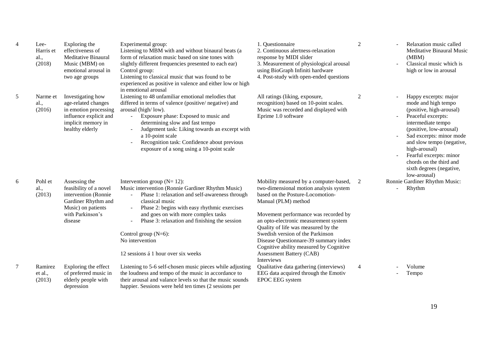| 4 | Lee-<br>Harris et<br>al.,<br>(2018) | Exploring the<br>effectiveness of<br><b>Meditative Binaural</b><br>Music (MBM) on<br>emotional arousal in<br>two age groups                 | Experimental group:<br>Listening to MBM with and without binaural beats (a<br>form of relaxation music based on sine tones with<br>slightly different frequencies presented to each ear)<br>Control group:<br>Listening to classical music that was found to be<br>experienced as positive in valence and either low or high<br>in emotional arousal                                        | 1. Questionnaire<br>2. Continuous alertness-relaxation<br>response by MIDI slider<br>3. Measurement of physiological arousal<br>using BioGraph Infiniti hardware<br>4. Post-study with open-ended questions                                                                                                                                                                                                                                  | $\overline{2}$ | Relaxation music called<br>Meditative Binaural Music<br>(MBM)<br>Classical music which is<br>high or low in arousal                                                                                                                                                                                                         |
|---|-------------------------------------|---------------------------------------------------------------------------------------------------------------------------------------------|---------------------------------------------------------------------------------------------------------------------------------------------------------------------------------------------------------------------------------------------------------------------------------------------------------------------------------------------------------------------------------------------|----------------------------------------------------------------------------------------------------------------------------------------------------------------------------------------------------------------------------------------------------------------------------------------------------------------------------------------------------------------------------------------------------------------------------------------------|----------------|-----------------------------------------------------------------------------------------------------------------------------------------------------------------------------------------------------------------------------------------------------------------------------------------------------------------------------|
| 5 | Narme et<br>al.,<br>(2016)          | Investigating how<br>age-related changes<br>in emotion processing<br>influence explicit and<br>implicit memory in<br>healthy elderly        | Listening to 48 unfamiliar emotional melodies that<br>differed in terms of valence (positive/ negative) and<br>arousal (high/low).<br>Exposure phase: Exposed to music and<br>$\equiv$<br>determining slow and fast tempo<br>Judgement task: Liking towards an excerpt with<br>a 10-point scale<br>Recognition task: Confidence about previous<br>exposure of a song using a 10-point scale | All ratings (liking, exposure,<br>recognition) based on 10-point scales.<br>Music was recorded and displayed with<br>Eprime 1.0 software                                                                                                                                                                                                                                                                                                     | 2              | Happy excerpts: major<br>mode and high tempo<br>(positive, high-arousal)<br>Peaceful excerpts:<br>intermediate tempo<br>(positive, low-arousal)<br>Sad excerpts: minor mode<br>and slow tempo (negative,<br>high-arousal)<br>Fearful excerpts: minor<br>chords on the third and<br>sixth degrees (negative,<br>low-arousal) |
| 6 | Pohl et<br>al.,<br>(2013)           | Assessing the<br>feasibility of a novel<br>intervention (Ronnie<br>Gardiner Rhythm and<br>Music) on patients<br>with Parkinson's<br>disease | Intervention group $(N=12)$ :<br>Music intervention (Ronnie Gardiner Rhythm Music)<br>Phase 1: relaxation and self-awareness through<br>classical music<br>Phase 2: begins with easy rhythmic exercises<br>and goes on with more complex tasks<br>Phase 3: relaxation and finishing the session<br>Control group $(N=6)$ :<br>No intervention<br>12 sessions á 1 hour over six weeks        | Mobility measured by a computer-based,<br>two-dimensional motion analysis system<br>based on the Posture-Locomotion-<br>Manual (PLM) method<br>Movement performance was recorded by<br>an opto-electronic measurement system<br>Quality of life was measured by the<br>Swedish version of the Parkinson<br>Disease Questionnare-39 summary index<br>Cognitive ability measured by Cognitive<br><b>Assessment Battery (CAB)</b><br>Interviews | 2              | Ronnie Gardiner Rhythm Music:<br>Rhythm                                                                                                                                                                                                                                                                                     |
| 7 | Ramirez<br>et al.,<br>(2013)        | Exploring the effect<br>of preferred music in<br>elderly people with<br>depression                                                          | Listening to 5-6 self-chosen music pieces while adjusting<br>the loudness and tempo of the music in accordance to<br>their arousal and valance levels so that the music sounds<br>happier. Sessions were held ten times (2 sessions per                                                                                                                                                     | Qualitative data gathering (interviews)<br>EEG data acquired through the Emotiv<br>EPOC EEG system                                                                                                                                                                                                                                                                                                                                           | $\overline{4}$ | Volume<br>Tempo                                                                                                                                                                                                                                                                                                             |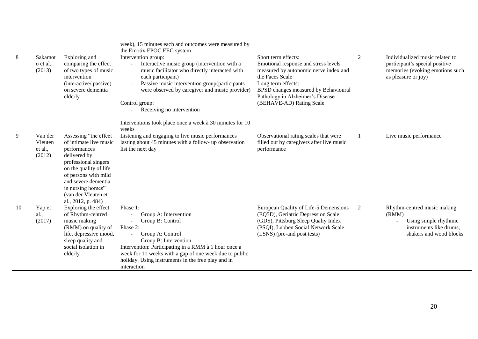| 8  | Sakamot<br>o et al.,<br>(2013)          | Exploring and<br>comparing the effect<br>of two types of music<br>intervention<br>(interactive/passive)<br>on severe dementia<br>elderly                                                                                     | week), 15 minutes each and outcomes were measured by<br>the Emotiv EPOC EEG system<br>Intervention group:<br>Interactive music group (intervention with a<br>music facilitator who directly interacted with<br>each participant)<br>Passive music intervention group(participants<br>were observed by caregiver and music provider)<br>Control group:<br>Receiving no intervention | Short term effects:<br>Emotional response and stress levels<br>measured by autonomic nerve index and<br>the Faces Scale<br>Long term effects:<br>BPSD changes measured by Behavioural<br>Pathology in Alzheimer's Disease<br>(BEHAVE-AD) Rating Scale | 2 | Individualized music related to<br>participant's special positive<br>memories (evoking emotions such<br>as pleasure or joy) |
|----|-----------------------------------------|------------------------------------------------------------------------------------------------------------------------------------------------------------------------------------------------------------------------------|------------------------------------------------------------------------------------------------------------------------------------------------------------------------------------------------------------------------------------------------------------------------------------------------------------------------------------------------------------------------------------|-------------------------------------------------------------------------------------------------------------------------------------------------------------------------------------------------------------------------------------------------------|---|-----------------------------------------------------------------------------------------------------------------------------|
| 9  | Van der<br>Vleuten<br>et al.,<br>(2012) | Assessing "the effect<br>of intimate live music<br>performances<br>delivered by<br>professional singers<br>on the quality of life<br>of persons with mild<br>and severe dementia<br>in nursing homes"<br>(van der Vleuten et | Interventions took place once a week à 30 minutes for 10<br>weeks<br>Listening and engaging to live music performances<br>lasting about 45 minutes with a follow- up observation<br>list the next day                                                                                                                                                                              | Observational rating scales that were<br>filled out by caregivers after live music<br>performance                                                                                                                                                     |   | Live music performance                                                                                                      |
| 10 | Yap et<br>al.,<br>(2017)                | al., 2012, p. 484)<br>Exploring the effect<br>of Rhythm-centred<br>music making<br>(RMM) on quality of<br>life, depressive mood,<br>sleep quality and<br>social isolation in<br>elderly                                      | Phase 1:<br>Group A: Intervention<br>Group B: Control<br>Phase 2:<br>Group A: Control<br>Group B: Intervention<br>Intervention: Participating in a RMM à 1 hour once a<br>week for 11 weeks with a gap of one week due to public<br>holiday. Using instruments in the free play and in<br>interaction                                                                              | European Quality of Life-5 Demensions<br>(EQ5D), Geriatric Depression Scale<br>(GDS), Pittsburg Sleep Qualiy Index<br>(PSQI), Lubben Social Network Scale<br>(LSNS) (pre-and post tests)                                                              | 2 | Rhythm-centred music making<br>(RMM)<br>Using simple rhythmic<br>instruments like drums.<br>shakers and wood blocks         |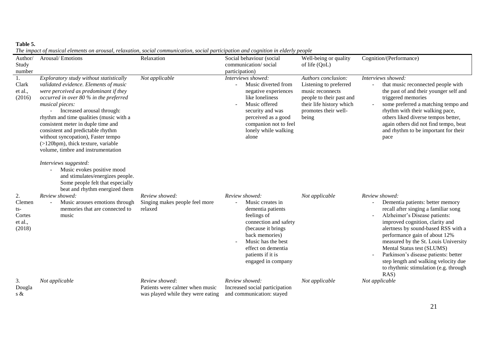## **Table 5.**

*The impact of musical elements on arousal, relaxation, social communication, social participation and cognition in elderly people*

| Author/<br>Study<br>number                         | Arousal/Emotions                                                                                                                                                                                                                                                                                                                                                                                                                                                                                                                                                                               | Relaxation                                                                             | Social behaviour (social<br>communication/social<br>participation)                                                                                                                                                             | Well-being or quality<br>of life (QoL)                                                                                                                     | Cognition/(Performance)                                                                                                                                                                                                                                                                                                                                                                                                                       |
|----------------------------------------------------|------------------------------------------------------------------------------------------------------------------------------------------------------------------------------------------------------------------------------------------------------------------------------------------------------------------------------------------------------------------------------------------------------------------------------------------------------------------------------------------------------------------------------------------------------------------------------------------------|----------------------------------------------------------------------------------------|--------------------------------------------------------------------------------------------------------------------------------------------------------------------------------------------------------------------------------|------------------------------------------------------------------------------------------------------------------------------------------------------------|-----------------------------------------------------------------------------------------------------------------------------------------------------------------------------------------------------------------------------------------------------------------------------------------------------------------------------------------------------------------------------------------------------------------------------------------------|
| Clark<br>et al.,<br>(2016)                         | Exploratory study without statistically<br>validated evidence. Elements of music<br>were perceived as predominant if they<br>occurred in over 80 % in the preferred<br>musical pieces:<br>Increased arousal through:<br>rhythm and time qualities (music with a<br>consistent meter in duple time and<br>consistent and predictable rhythm<br>without syncopation), Faster tempo<br>$(>120$ bpm), thick texture, variable<br>volume, timbre and instrumentation<br>Interviews suggested:<br>Music evokes positive mood<br>and stimulates/energizes people.<br>Some people felt that especially | Not applicable                                                                         | Interviews showed:<br>Music diverted from<br>$\equiv$<br>negative experiences<br>like loneliness<br>Music offered<br>security and was<br>perceived as a good<br>companion not to feel<br>lonely while walking<br>alone         | Authors conclusion:<br>Listening to preferred<br>music reconnects<br>people to their past and<br>their life history which<br>promotes their well-<br>being | Interviews showed:<br>that music reconnected people with<br>the past of and their younger self and<br>triggered memories<br>some preferred a matching tempo and<br>rhythm with their walking pace,<br>others liked diverse tempos better,<br>again others did not find tempo, beat<br>and rhythm to be important for their<br>pace                                                                                                            |
| 2.<br>Clemen<br>ts-<br>Cortes<br>et al.,<br>(2018) | beat and rhythm energized them<br>Review showed:<br>Music arouses emotions through<br>memories that are connected to<br>music                                                                                                                                                                                                                                                                                                                                                                                                                                                                  | Review showed:<br>Singing makes people feel more<br>relaxed                            | Review showed:<br>Music creates in<br>dementia patients<br>feelings of<br>connection and safety<br>(because it brings<br>back memories)<br>Music has the best<br>effect on dementia<br>patients if it is<br>engaged in company | Not applicable                                                                                                                                             | Review showed:<br>Dementia patients: better memory<br>recall after singing a familiar song<br>Alzheimer's Disease patients:<br>improved cognition, clarity and<br>alertness by sound-based RSS with a<br>performance gain of about 12%<br>measured by the St. Louis University<br>Mental Status test (SLUMS)<br>Parkinson's disease patients: better<br>step length and walking velocity due<br>to rhythmic stimulation (e.g. through<br>RAS) |
| 3.<br>Dougla<br>s $\&$                             | Not applicable                                                                                                                                                                                                                                                                                                                                                                                                                                                                                                                                                                                 | Review showed:<br>Patients were calmer when music<br>was played while they were eating | Review showed:<br>Increased social participation<br>and communication: stayed                                                                                                                                                  | Not applicable                                                                                                                                             | Not applicable                                                                                                                                                                                                                                                                                                                                                                                                                                |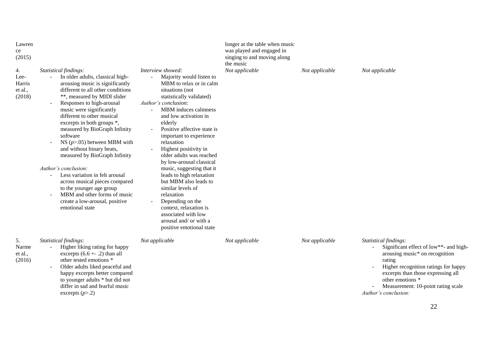| Lawren<br>ce<br>(2015)<br>4.<br>Lee-<br>Harris<br>et al.,<br>(2018) | Statistical findings:<br>In older adults, classical high-<br>arousing music is significantly<br>different to all other conditions<br>**, measured by MIDI slider<br>Responses to high-arousal<br>$\blacksquare$<br>music were significantly<br>different to other musical<br>excerpts in both groups *,<br>measured by BioGraph Infinity<br>software<br>NS $(p>0.05)$ between MBM with | Interview showed:<br>Majority would listen to<br>MBM to relax or in calm<br>situations (not<br>statistically validated)<br>Author's conclusion:<br>MBM induces calmness<br>and low activation in<br>elderly<br>Positive affective state is<br>important to experience<br>relaxation                                           | longer at the table when music<br>was played and engaged in<br>singing to and moving along<br>the music<br>Not applicable | Not applicable | Not applicable                                                                                                                                                                                                                                                              |
|---------------------------------------------------------------------|----------------------------------------------------------------------------------------------------------------------------------------------------------------------------------------------------------------------------------------------------------------------------------------------------------------------------------------------------------------------------------------|-------------------------------------------------------------------------------------------------------------------------------------------------------------------------------------------------------------------------------------------------------------------------------------------------------------------------------|---------------------------------------------------------------------------------------------------------------------------|----------------|-----------------------------------------------------------------------------------------------------------------------------------------------------------------------------------------------------------------------------------------------------------------------------|
|                                                                     | and without binary beats,<br>measured by BioGraph Infinity<br>Author's conclusion:<br>Less variation in felt arousal<br>across musical pieces compared<br>to the younger age group<br>MBM and other forms of music<br>create a low-arousal, positive<br>emotional state                                                                                                                | Highest positivity in<br>older adults was reached<br>by low-arousal classical<br>music, suggesting that it<br>leads to high relaxation<br>but MBM also leads to<br>similar levels of<br>relaxation<br>Depending on the<br>context, relaxation is<br>associated with low<br>arousal and/ or with a<br>positive emotional state |                                                                                                                           |                |                                                                                                                                                                                                                                                                             |
| 5.<br>Narme<br>et al.,<br>(2016)                                    | Statistical findings:<br>Higher liking rating for happy<br>excerpts $(6.6 + .2)$ than all<br>other tested emotions *<br>Older adults liked peaceful and<br>$\sim$<br>happy excerpts better compared<br>to younger adults * but did not<br>differ in sad and fearful music<br>excerpts $(p>2)$                                                                                          | Not applicable                                                                                                                                                                                                                                                                                                                | Not applicable                                                                                                            | Not applicable | Statistical findings:<br>Significant effect of low**- and high-<br>arousing music* on recognition<br>rating<br>Higher recognition ratings for happy<br>excerpts than those expressing all<br>other emotions *<br>Measurement: 10-point rating scale<br>Author's conclusion: |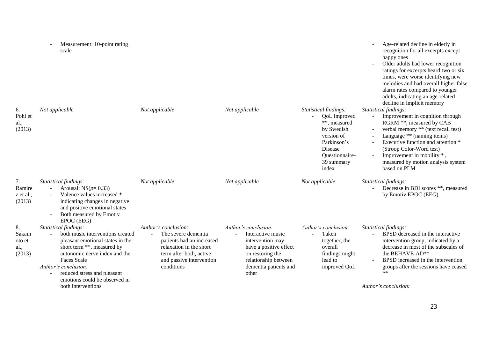| 6.<br>Pohl et<br>al.,<br>(2013)         | Measurement: 10-point rating<br>scale<br>Not applicable                                                                                                                                                                                                                                                        | Not applicable                                                                                                                                                           | Not applicable                                                                                                                                                        | Statistical findings:<br>QoL improved<br>**, measured<br>by Swedish<br>version of<br>Parkinson's<br>Disease<br>Questionnaire-<br>39 summary<br>index | Age-related decline in elderly in<br>recognition for all excerpts except<br>happy ones<br>Older adults had lower recognition<br>ratings for excerpts heard two or six<br>times, were worse identifying new<br>melodies and had overall higher false<br>alarm rates compared to younger<br>adults, indicating an age-related<br>decline in implicit memory<br>Statistical findings:<br>Improvement in cognition through<br>RGRM **, measured by CAB<br>verbal memory ** (text recall test)<br>Language ** (naming items)<br>Executive function and attention *<br>(Stroop Color-Word test)<br>Improvement in mobility *,<br>measured by motion analysis system<br>based on PLM |
|-----------------------------------------|----------------------------------------------------------------------------------------------------------------------------------------------------------------------------------------------------------------------------------------------------------------------------------------------------------------|--------------------------------------------------------------------------------------------------------------------------------------------------------------------------|-----------------------------------------------------------------------------------------------------------------------------------------------------------------------|------------------------------------------------------------------------------------------------------------------------------------------------------|-------------------------------------------------------------------------------------------------------------------------------------------------------------------------------------------------------------------------------------------------------------------------------------------------------------------------------------------------------------------------------------------------------------------------------------------------------------------------------------------------------------------------------------------------------------------------------------------------------------------------------------------------------------------------------|
| 7.<br>Ramire<br>z et al.,<br>(2013)     | Statistical findings:<br>Arousal: $NS(p=0.33)$<br>Valence values increased *<br>indicating changes in negative<br>and positive emotional states<br>Both measured by Emotiv                                                                                                                                     | Not applicable                                                                                                                                                           | Not applicable                                                                                                                                                        | Not applicable                                                                                                                                       | Statistical findings:<br>Decrease in BDI scores **, measured<br>by Emotiv EPOC (EEG)                                                                                                                                                                                                                                                                                                                                                                                                                                                                                                                                                                                          |
| 8.<br>Sakam<br>oto et<br>al.,<br>(2013) | EPOC (EEG)<br>Statistical findings:<br>both music interventions created<br>pleasant emotional states in the<br>short term **, measured by<br>autonomic nerve index and the<br><b>Faces Scale</b><br>Author's conclusion:<br>reduced stress and pleasant<br>emotions could be observed in<br>both interventions | Author's conclusion:<br>The severe dementia<br>patients had an increased<br>relaxation in the short<br>term after both, active<br>and passive intervention<br>conditions | Author's conclusion:<br>Interactive music<br>intervention may<br>have a positive effect<br>on restoring the<br>relationship between<br>dementia patients and<br>other | Author's conclusion:<br>Taken<br>together, the<br>overall<br>findings might<br>lead to<br>improved QoL                                               | Statistical findings:<br>BPSD decreased in the interactive<br>intervention group, indicated by a<br>decrease in most of the subscales of<br>the BEHAVE-AD**<br>BPSD increased in the intervention<br>groups after the sessions have ceased<br>$**$<br>Author's conclusion:                                                                                                                                                                                                                                                                                                                                                                                                    |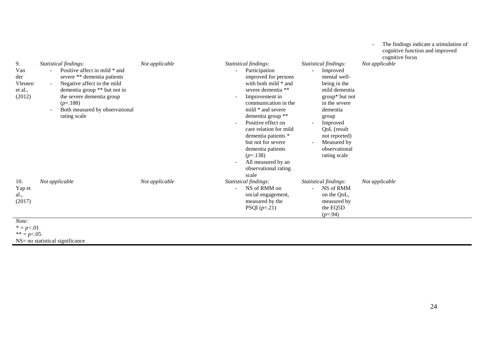| 9.<br>Van<br>der<br>Vleuten<br>et al.,<br>(2012) | Statistical findings:<br>Positive affect in mild * and<br>severe ** dementia patients<br>Negative affect in the mild<br>$\sim$<br>dementia group ** but not in<br>the severe dementia group<br>$(p=.188)$<br>Both measured by observational<br>$\overline{\phantom{a}}$<br>rating scale | Not applicable | Statistical findings:<br>Participation<br>improved for persons<br>with both mild * and<br>severe dementia **<br>Improvement in<br>communication in the<br>mild * and severe<br>dementia group **<br>Positive effect on<br>care relation for mild<br>dementia patients *<br>but not for severe<br>dementia patients<br>$(p=.138)$<br>All measured by an<br>observational rating<br>scale | Statistical findings:<br>Improved<br>mental well-<br>being in the<br>mild dementia<br>group* but not<br>in the severe<br>dementia<br>group<br>Improved<br>QoL (result<br>not reported)<br>Measured by<br>$\blacksquare$<br>observational<br>rating scale | cognitive function and improved<br>cognitive focus<br>Not applicable |
|--------------------------------------------------|-----------------------------------------------------------------------------------------------------------------------------------------------------------------------------------------------------------------------------------------------------------------------------------------|----------------|-----------------------------------------------------------------------------------------------------------------------------------------------------------------------------------------------------------------------------------------------------------------------------------------------------------------------------------------------------------------------------------------|----------------------------------------------------------------------------------------------------------------------------------------------------------------------------------------------------------------------------------------------------------|----------------------------------------------------------------------|
| 10.<br>Yap et<br>al.,<br>(2017)                  | Not applicable                                                                                                                                                                                                                                                                          | Not applicable | Statistical findings:<br>NS of RMM on<br>social engagement,<br>measured by the<br>PSQI $(p=.21)$                                                                                                                                                                                                                                                                                        | Statistical findings:<br>NS of RMM<br>on the QoL,<br>measured by<br>the EQ5D<br>$(p=.94)$                                                                                                                                                                | Not applicable                                                       |
| Note:<br>$* = p < .01$                           |                                                                                                                                                                                                                                                                                         |                |                                                                                                                                                                                                                                                                                                                                                                                         |                                                                                                                                                                                                                                                          |                                                                      |

*\*\* = p*<.05

 $NS=$  no statistical significance

 $\mathcal{L}_{\mathcal{A}}$ 

- The findings indicate a stimulation of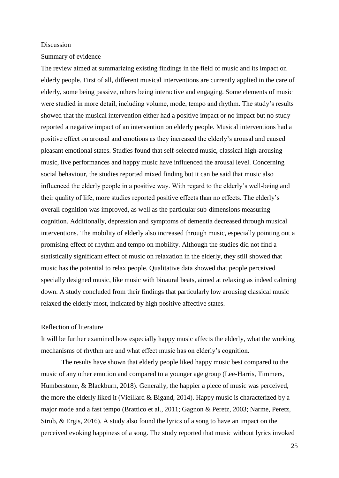#### Discussion

## Summary of evidence

The review aimed at summarizing existing findings in the field of music and its impact on elderly people. First of all, different musical interventions are currently applied in the care of elderly, some being passive, others being interactive and engaging. Some elements of music were studied in more detail, including volume, mode, tempo and rhythm. The study's results showed that the musical intervention either had a positive impact or no impact but no study reported a negative impact of an intervention on elderly people. Musical interventions had a positive effect on arousal and emotions as they increased the elderly's arousal and caused pleasant emotional states. Studies found that self-selected music, classical high-arousing music, live performances and happy music have influenced the arousal level. Concerning social behaviour, the studies reported mixed finding but it can be said that music also influenced the elderly people in a positive way. With regard to the elderly's well-being and their quality of life, more studies reported positive effects than no effects. The elderly's overall cognition was improved, as well as the particular sub-dimensions measuring cognition. Additionally, depression and symptoms of dementia decreased through musical interventions. The mobility of elderly also increased through music, especially pointing out a promising effect of rhythm and tempo on mobility. Although the studies did not find a statistically significant effect of music on relaxation in the elderly, they still showed that music has the potential to relax people. Qualitative data showed that people perceived specially designed music, like music with binaural beats, aimed at relaxing as indeed calming down. A study concluded from their findings that particularly low arousing classical music relaxed the elderly most, indicated by high positive affective states.

## Reflection of literature

It will be further examined how especially happy music affects the elderly, what the working mechanisms of rhythm are and what effect music has on elderly's cognition.

The results have shown that elderly people liked happy music best compared to the music of any other emotion and compared to a younger age group (Lee-Harris, Timmers, Humberstone, & Blackburn, 2018). Generally, the happier a piece of music was perceived, the more the elderly liked it (Vieillard & Bigand, 2014). Happy music is characterized by a major mode and a fast tempo (Brattico et al., 2011; Gagnon & Peretz, 2003; Narme, Peretz, Strub, & Ergis, 2016). A study also found the lyrics of a song to have an impact on the perceived evoking happiness of a song. The study reported that music without lyrics invoked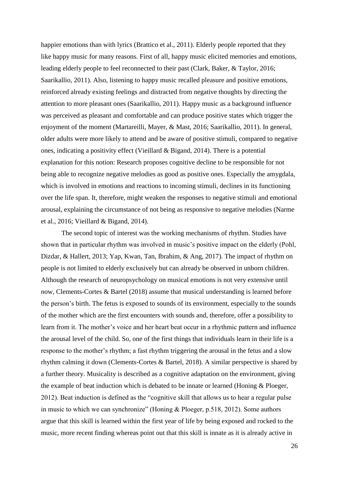happier emotions than with lyrics (Brattico et al., 2011). Elderly people reported that they like happy music for many reasons. First of all, happy music elicited memories and emotions, leading elderly people to feel reconnected to their past (Clark, Baker, & Taylor, 2016; Saarikallio, 2011). Also, listening to happy music recalled pleasure and positive emotions, reinforced already existing feelings and distracted from negative thoughts by directing the attention to more pleasant ones (Saarikallio, 2011). Happy music as a background influence was perceived as pleasant and comfortable and can produce positive states which trigger the enjoyment of the moment (Martareilli, Mayer, & Mast, 2016; Saarikallio, 2011). In general, older adults were more likely to attend and be aware of positive stimuli, compared to negative ones, indicating a positivity effect (Vieillard & Bigand, 2014). There is a potential explanation for this notion: Research proposes cognitive decline to be responsible for not being able to recognize negative melodies as good as positive ones. Especially the amygdala, which is involved in emotions and reactions to incoming stimuli, declines in its functioning over the life span. It, therefore, might weaken the responses to negative stimuli and emotional arousal, explaining the circumstance of not being as responsive to negative melodies (Narme et al., 2016; Vieillard & Bigand, 2014).

The second topic of interest was the working mechanisms of rhythm. Studies have shown that in particular rhythm was involved in music's positive impact on the elderly (Pohl, Dizdar, & Hallert, 2013; Yap, Kwan, Tan, Ibrahim, & Ang, 2017). The impact of rhythm on people is not limited to elderly exclusively but can already be observed in unborn children. Although the research of neuropsychology on musical emotions is not very extensive until now, Clements-Cortes & Bartel (2018) assume that musical understanding is learned before the person's birth. The fetus is exposed to sounds of its environment, especially to the sounds of the mother which are the first encounters with sounds and, therefore, offer a possibility to learn from it. The mother's voice and her heart beat occur in a rhythmic pattern and influence the arousal level of the child. So, one of the first things that individuals learn in their life is a response to the mother's rhythm; a fast rhythm triggering the arousal in the fetus and a slow rhythm calming it down (Clements-Cortes & Bartel, 2018). A similar perspective is shared by a further theory. Musicality is described as a cognitive adaptation on the environment, giving the example of beat induction which is debated to be innate or learned (Honing & Ploeger, 2012). Beat induction is defined as the "cognitive skill that allows us to hear a regular pulse in music to which we can synchronize" (Honing & Ploeger, p.518, 2012). Some authors argue that this skill is learned within the first year of life by being exposed and rocked to the music, more recent finding whereas point out that this skill is innate as it is already active in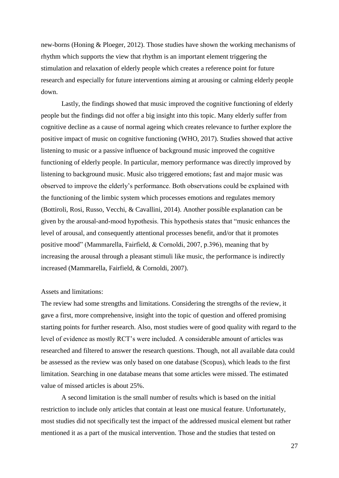new-borns (Honing & Ploeger, 2012). Those studies have shown the working mechanisms of rhythm which supports the view that rhythm is an important element triggering the stimulation and relaxation of elderly people which creates a reference point for future research and especially for future interventions aiming at arousing or calming elderly people down.

Lastly, the findings showed that music improved the cognitive functioning of elderly people but the findings did not offer a big insight into this topic. Many elderly suffer from cognitive decline as a cause of normal ageing which creates relevance to further explore the positive impact of music on cognitive functioning (WHO, 2017). Studies showed that active listening to music or a passive influence of background music improved the cognitive functioning of elderly people. In particular, memory performance was directly improved by listening to background music. Music also triggered emotions; fast and major music was observed to improve the elderly's performance. Both observations could be explained with the functioning of the limbic system which processes emotions and regulates memory (Bottiroli, Rosi, Russo, Vecchi, & Cavallini, 2014). Another possible explanation can be given by the arousal-and-mood hypothesis. This hypothesis states that "music enhances the level of arousal, and consequently attentional processes benefit, and/or that it promotes positive mood" (Mammarella, Fairfield, & Cornoldi, 2007, p.396), meaning that by increasing the arousal through a pleasant stimuli like music, the performance is indirectly increased (Mammarella, Fairfield, & Cornoldi, 2007).

## Assets and limitations:

The review had some strengths and limitations. Considering the strengths of the review, it gave a first, more comprehensive, insight into the topic of question and offered promising starting points for further research. Also, most studies were of good quality with regard to the level of evidence as mostly RCT's were included. A considerable amount of articles was researched and filtered to answer the research questions. Though, not all available data could be assessed as the review was only based on one database (Scopus), which leads to the first limitation. Searching in one database means that some articles were missed. The estimated value of missed articles is about 25%.

A second limitation is the small number of results which is based on the initial restriction to include only articles that contain at least one musical feature. Unfortunately, most studies did not specifically test the impact of the addressed musical element but rather mentioned it as a part of the musical intervention. Those and the studies that tested on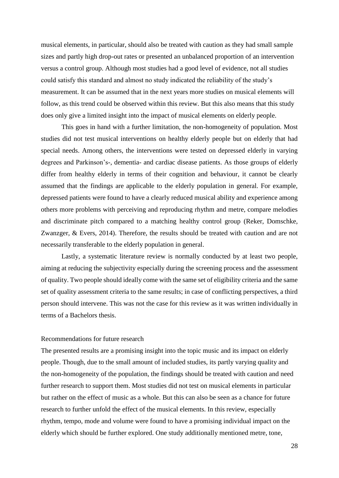musical elements, in particular, should also be treated with caution as they had small sample sizes and partly high drop-out rates or presented an unbalanced proportion of an intervention versus a control group. Although most studies had a good level of evidence, not all studies could satisfy this standard and almost no study indicated the reliability of the study's measurement. It can be assumed that in the next years more studies on musical elements will follow, as this trend could be observed within this review. But this also means that this study does only give a limited insight into the impact of musical elements on elderly people.

This goes in hand with a further limitation, the non-homogeneity of population. Most studies did not test musical interventions on healthy elderly people but on elderly that had special needs. Among others, the interventions were tested on depressed elderly in varying degrees and Parkinson's-, dementia- and cardiac disease patients. As those groups of elderly differ from healthy elderly in terms of their cognition and behaviour, it cannot be clearly assumed that the findings are applicable to the elderly population in general. For example, depressed patients were found to have a clearly reduced musical ability and experience among others more problems with perceiving and reproducing rhythm and metre, compare melodies and discriminate pitch compared to a matching healthy control group (Reker, Domschke, Zwanzger, & Evers, 2014). Therefore, the results should be treated with caution and are not necessarily transferable to the elderly population in general.

Lastly, a systematic literature review is normally conducted by at least two people, aiming at reducing the subjectivity especially during the screening process and the assessment of quality. Two people should ideally come with the same set of eligibility criteria and the same set of quality assessment criteria to the same results; in case of conflicting perspectives, a third person should intervene. This was not the case for this review as it was written individually in terms of a Bachelors thesis.

## Recommendations for future research

The presented results are a promising insight into the topic music and its impact on elderly people. Though, due to the small amount of included studies, its partly varying quality and the non-homogeneity of the population, the findings should be treated with caution and need further research to support them. Most studies did not test on musical elements in particular but rather on the effect of music as a whole. But this can also be seen as a chance for future research to further unfold the effect of the musical elements. In this review, especially rhythm, tempo, mode and volume were found to have a promising individual impact on the elderly which should be further explored. One study additionally mentioned metre, tone,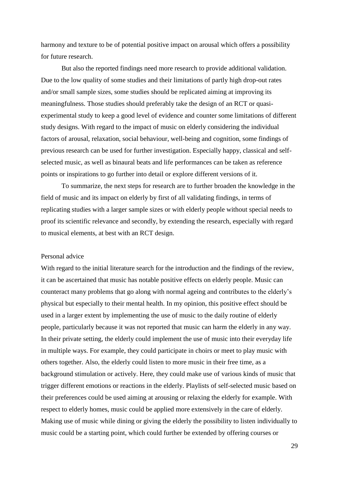harmony and texture to be of potential positive impact on arousal which offers a possibility for future research.

But also the reported findings need more research to provide additional validation. Due to the low quality of some studies and their limitations of partly high drop-out rates and/or small sample sizes, some studies should be replicated aiming at improving its meaningfulness. Those studies should preferably take the design of an RCT or quasiexperimental study to keep a good level of evidence and counter some limitations of different study designs. With regard to the impact of music on elderly considering the individual factors of arousal, relaxation, social behaviour, well-being and cognition, some findings of previous research can be used for further investigation. Especially happy, classical and selfselected music, as well as binaural beats and life performances can be taken as reference points or inspirations to go further into detail or explore different versions of it.

To summarize, the next steps for research are to further broaden the knowledge in the field of music and its impact on elderly by first of all validating findings, in terms of replicating studies with a larger sample sizes or with elderly people without special needs to proof its scientific relevance and secondly, by extending the research, especially with regard to musical elements, at best with an RCT design.

#### Personal advice

With regard to the initial literature search for the introduction and the findings of the review, it can be ascertained that music has notable positive effects on elderly people. Music can counteract many problems that go along with normal ageing and contributes to the elderly's physical but especially to their mental health. In my opinion, this positive effect should be used in a larger extent by implementing the use of music to the daily routine of elderly people, particularly because it was not reported that music can harm the elderly in any way. In their private setting, the elderly could implement the use of music into their everyday life in multiple ways. For example, they could participate in choirs or meet to play music with others together. Also, the elderly could listen to more music in their free time, as a background stimulation or actively. Here, they could make use of various kinds of music that trigger different emotions or reactions in the elderly. Playlists of self-selected music based on their preferences could be used aiming at arousing or relaxing the elderly for example. With respect to elderly homes, music could be applied more extensively in the care of elderly. Making use of music while dining or giving the elderly the possibility to listen individually to music could be a starting point, which could further be extended by offering courses or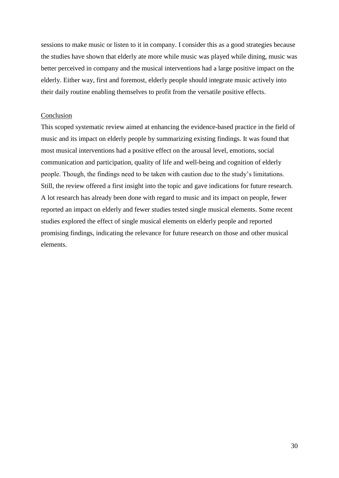sessions to make music or listen to it in company. I consider this as a good strategies because the studies have shown that elderly ate more while music was played while dining, music was better perceived in company and the musical interventions had a large positive impact on the elderly. Either way, first and foremost, elderly people should integrate music actively into their daily routine enabling themselves to profit from the versatile positive effects.

## Conclusion

This scoped systematic review aimed at enhancing the evidence-based practice in the field of music and its impact on elderly people by summarizing existing findings. It was found that most musical interventions had a positive effect on the arousal level, emotions, social communication and participation, quality of life and well-being and cognition of elderly people. Though, the findings need to be taken with caution due to the study's limitations. Still, the review offered a first insight into the topic and gave indications for future research. A lot research has already been done with regard to music and its impact on people, fewer reported an impact on elderly and fewer studies tested single musical elements. Some recent studies explored the effect of single musical elements on elderly people and reported promising findings, indicating the relevance for future research on those and other musical elements.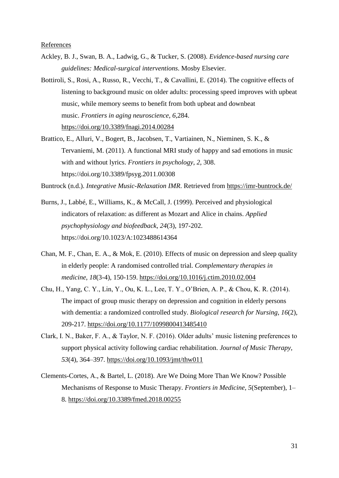References

- Ackley, B. J., Swan, B. A., Ladwig, G., & Tucker, S. (2008). *Evidence-based nursing care guidelines: Medical-surgical interventions*. Mosby Elsevier.
- Bottiroli, S., Rosi, A., Russo, R., Vecchi, T., & Cavallini, E. (2014). The cognitive effects of listening to background music on older adults: processing speed improves with upbeat music, while memory seems to benefit from both upbeat and downbeat music. *Frontiers in aging neuroscience*, *6*,284. <https://doi.org/10.3389/fnagi.2014.00284>
- Brattico, E., Alluri, V., Bogert, B., Jacobsen, T., Vartiainen, N., Nieminen, S. K., & Tervaniemi, M. (2011). A functional MRI study of happy and sad emotions in music with and without lyrics. *Frontiers in psychology*, *2*, 308. https://doi.org/10.3389/fpsyg.2011.00308

Buntrock (n.d.). *Integrative Music-Relaxation IMR*. Retrieved from<https://imr-buntrock.de/>

- Burns, J., Labbé, E., Williams, K., & McCall, J. (1999). Perceived and physiological indicators of relaxation: as different as Mozart and Alice in chains. *Applied psychophysiology and biofeedback*, *24*(3), 197-202. https://doi.org/10.1023/A:1023488614364
- Chan, M. F., Chan, E. A., & Mok, E. (2010). Effects of music on depression and sleep quality in elderly people: A randomised controlled trial. *Complementary therapies in medicine*, *18*(3-4), 150-159. <https://doi.org/10.1016/j.ctim.2010.02.004>
- Chu, H., Yang, C. Y., Lin, Y., Ou, K. L., Lee, T. Y., O'Brien, A. P., & Chou, K. R. (2014). The impact of group music therapy on depression and cognition in elderly persons with dementia: a randomized controlled study. *Biological research for Nursing*, *16*(2), 209-217. <https://doi.org/10.1177/1099800413485410>
- Clark, I. N., Baker, F. A., & Taylor, N. F. (2016). Older adults' music listening preferences to support physical activity following cardiac rehabilitation. *Journal of Music Therapy, 53*(4), 364–397.<https://doi.org/10.1093/jmt/thw011>
- Clements-Cortes, A., & Bartel, L. (2018). Are We Doing More Than We Know? Possible Mechanisms of Response to Music Therapy. *Frontiers in Medicine, 5*(September), 1– 8.<https://doi.org/10.3389/fmed.2018.00255>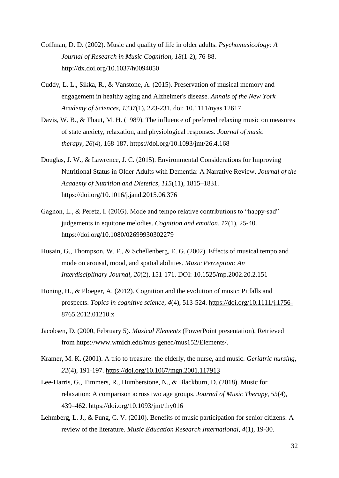- Coffman, D. D. (2002). Music and quality of life in older adults. *Psychomusicology: A Journal of Research in Music Cognition*, *18*(1-2), 76-88. http://dx.doi.org/10.1037/h0094050
- Cuddy, L. L., Sikka, R., & Vanstone, A. (2015). Preservation of musical memory and engagement in healthy aging and Alzheimer's disease. *Annals of the New York Academy of Sciences*, *1337*(1), 223-231. doi: 10.1111/nyas.12617
- Davis, W. B., & Thaut, M. H. (1989). The influence of preferred relaxing music on measures of state anxiety, relaxation, and physiological responses. *Journal of music therapy*, *26*(4), 168-187. https://doi.org/10.1093/jmt/26.4.168
- Douglas, J. W., & Lawrence, J. C. (2015). Environmental Considerations for Improving Nutritional Status in Older Adults with Dementia: A Narrative Review. *Journal of the Academy of Nutrition and Dietetics, 115*(11), 1815–1831. <https://doi.org/10.1016/j.jand.2015.06.376>
- Gagnon, L., & Peretz, I. (2003). Mode and tempo relative contributions to "happy-sad" judgements in equitone melodies. *Cognition and emotion*, *17*(1), 25-40. <https://doi.org/10.1080/02699930302279>
- Husain, G., Thompson, W. F., & Schellenberg, E. G. (2002). Effects of musical tempo and mode on arousal, mood, and spatial abilities. *Music Perception: An Interdisciplinary Journal, 20*(2), 151-171. DOI: 10.1525/mp.2002.20.2.151
- Honing, H., & Ploeger, A. (2012). Cognition and the evolution of music: Pitfalls and prospects. *Topics in cognitive science*, *4*(4), 513-524. <https://doi.org/10.1111/j.1756-> 8765.2012.01210.x
- Jacobsen, D. (2000, February 5). *Musical Elements* (PowerPoint presentation). Retrieved from https://www.wmich.edu/mus-gened/mus152/Elements/.
- Kramer, M. K. (2001). A trio to treasure: the elderly, the nurse, and music. *Geriatric nursing*, *22*(4), 191-197. <https://doi.org/10.1067/mgn.2001.117913>
- Lee-Harris, G., Timmers, R., Humberstone, N., & Blackburn, D. (2018). Music for relaxation: A comparison across two age groups. *Journal of Music Therapy, 55*(4), 439–462.<https://doi.org/10.1093/jmt/thy016>
- Lehmberg, L. J., & Fung, C. V. (2010). Benefits of music participation for senior citizens: A review of the literature. *Music Education Research International*, *4*(1), 19-30.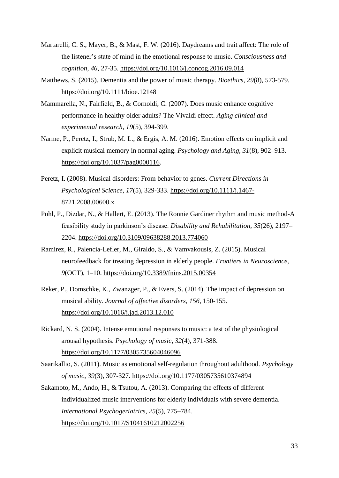- Martarelli, C. S., Mayer, B., & Mast, F. W. (2016). Daydreams and trait affect: The role of the listener's state of mind in the emotional response to music. *Consciousness and cognition*, *46*, 27-35. <https://doi.org/10.1016/j.concog.2016.09.014>
- Matthews, S. (2015). Dementia and the power of music therapy. *Bioethics*, *29*(8), 573-579. <https://doi.org/10.1111/bioe.12148>
- Mammarella, N., Fairfield, B., & Cornoldi, C. (2007). Does music enhance cognitive performance in healthy older adults? The Vivaldi effect. *Aging clinical and experimental research*, *19*(5), 394-399.
- Narme, P., Peretz, I., Strub, M. L., & Ergis, A. M. (2016). Emotion effects on implicit and explicit musical memory in normal aging. *Psychology and Aging, 31*(8), 902–913. [https://doi.org/10.1037/pag0000116.](https://doi.org/10.1037/pag0000116)
- Peretz, I. (2008). Musical disorders: From behavior to genes. *Current Directions in Psychological Science, 17*(5), 329-333. <https://doi.org/10.1111/j.1467-> 8721.2008.00600.x
- Pohl, P., Dizdar, N., & Hallert, E. (2013). The Ronnie Gardiner rhythm and music method-A feasibility study in parkinson's disease. *Disability and Rehabilitation, 35*(26), 2197– 2204.<https://doi.org/10.3109/09638288.2013.774060>
- Ramirez, R., Palencia-Lefler, M., Giraldo, S., & Vamvakousis, Z. (2015). Musical neurofeedback for treating depression in elderly people. *Frontiers in Neuroscience, 9*(OCT), 1–10.<https://doi.org/10.3389/fnins.2015.00354>
- Reker, P., Domschke, K., Zwanzger, P., & Evers, S. (2014). The impact of depression on musical ability. *Journal of affective disorders*, *156*, 150-155. <https://doi.org/10.1016/j.jad.2013.12.010>
- Rickard, N. S. (2004). Intense emotional responses to music: a test of the physiological arousal hypothesis. *Psychology of music*, *32*(4), 371-388. <https://doi.org/10.1177/0305735604046096>
- Saarikallio, S. (2011). Music as emotional self-regulation throughout adulthood. *Psychology of music*, *39*(3), 307-327. <https://doi.org/10.1177/0305735610374894>
- Sakamoto, M., Ando, H., & Tsutou, A. (2013). Comparing the effects of different individualized music interventions for elderly individuals with severe dementia. *International Psychogeriatrics*, *25*(5), 775–784. <https://doi.org/10.1017/S1041610212002256>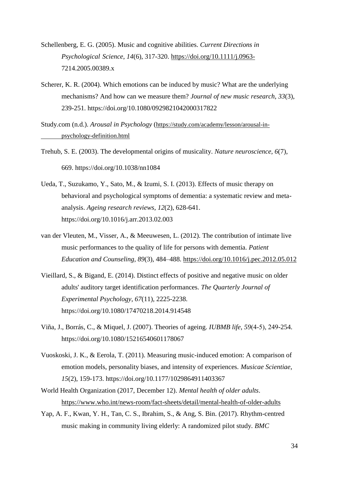- Schellenberg, E. G. (2005). Music and cognitive abilities. *Current Directions in Psychological Science*, *14*(6), 317-320. <https://doi.org/10.1111/j.0963-> 7214.2005.00389.x
- Scherer, K. R. (2004). Which emotions can be induced by music? What are the underlying mechanisms? And how can we measure them? *Journal of new music research*, *33*(3), 239-251. https://doi.org/10.1080/0929821042000317822
- Study.com (n.d.). *Arousal in Psychology* ([https://study.com/academy/lesson/arousal-in](https://study.com/academy/lesson/arousal-in-%09psychology-definition.html)[psychology-definition.html](https://study.com/academy/lesson/arousal-in-%09psychology-definition.html)
- Trehub, S. E. (2003). The developmental origins of musicality. *Nature neuroscience, 6*(7), 669. https://doi.org/10.1038/nn1084
- Ueda, T., Suzukamo, Y., Sato, M., & Izumi, S. I. (2013). Effects of music therapy on behavioral and psychological symptoms of dementia: a systematic review and metaanalysis. *Ageing research reviews*, *12*(2), 628-641. https://doi.org/10.1016/j.arr.2013.02.003
- van der Vleuten, M., Visser, A., & Meeuwesen, L. (2012). The contribution of intimate live music performances to the quality of life for persons with dementia. *Patient Education and Counseling, 89*(3), 484–488.<https://doi.org/10.1016/j.pec.2012.05.012>
- Vieillard, S., & Bigand, E. (2014). Distinct effects of positive and negative music on older adults' auditory target identification performances. *The Quarterly Journal of Experimental Psychology*, *67*(11), 2225-2238. https://doi.org/10.1080/17470218.2014.914548
- Viña, J., Borrás, C., & Miquel, J. (2007). Theories of ageing. *IUBMB life*, *59*(4‐5), 249-254. https://doi.org/10.1080/15216540601178067
- Vuoskoski, J. K., & Eerola, T. (2011). Measuring music-induced emotion: A comparison of emotion models, personality biases, and intensity of experiences. *Musicae Scientiae*, *15*(2), 159-173. https://doi.org/10.1177/1029864911403367
- World Health Organization (2017, December 12). *Mental health of older adults*. <https://www.who.int/news-room/fact-sheets/detail/mental-health-of-older-adults>
- Yap, A. F., Kwan, Y. H., Tan, C. S., Ibrahim, S., & Ang, S. Bin. (2017). Rhythm-centred music making in community living elderly: A randomized pilot study. *BMC*